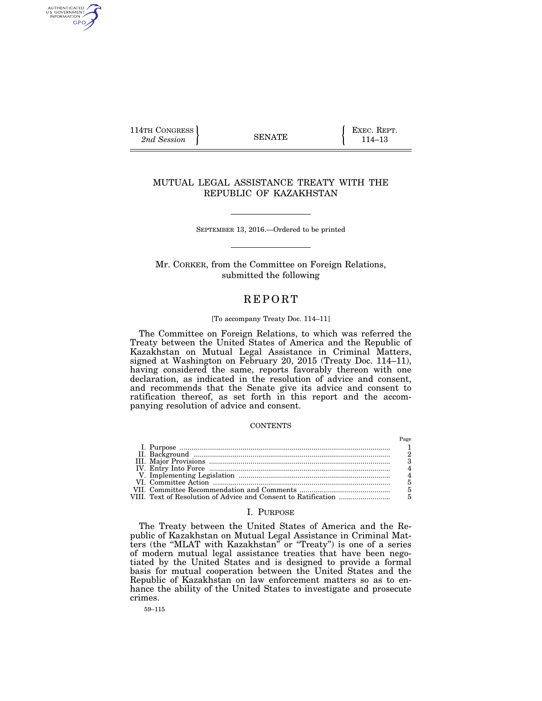114TH CONGRESS **EXEC. REPT.** 2nd Session **114–13** 

AUTHENTICATED<br>U.S. GOVERNMENT<br>INFORMATION GPO

## MUTUAL LEGAL ASSISTANCE TREATY WITH THE REPUBLIC OF KAZAKHSTAN

SEPTEMBER 13, 2016.—Ordered to be printed

Mr. CORKER, from the Committee on Foreign Relations, submitted the following

# **REPORT**

# [To accompany Treaty Doc. 114–11]

The Committee on Foreign Relations, to which was referred the Treaty between the United States of America and the Republic of Kazakhstan on Mutual Legal Assistance in Criminal Matters, signed at Washington on February 20, 2015 (Treaty Doc. 114–11), having considered the same, reports favorably thereon with one declaration, as indicated in the resolution of advice and consent, and recommends that the Senate give its advice and consent to ratification thereof, as set forth in this report and the accompanying resolution of advice and consent.

#### **CONTENTS**

## I. PURPOSE

The Treaty between the United States of America and the Republic of Kazakhstan on Mutual Legal Assistance in Criminal Matters (the ''MLAT with Kazakhstan'' or ''Treaty'') is one of a series of modern mutual legal assistance treaties that have been negotiated by the United States and is designed to provide a formal basis for mutual cooperation between the United States and the Republic of Kazakhstan on law enforcement matters so as to enhance the ability of the United States to investigate and prosecute crimes.

59–115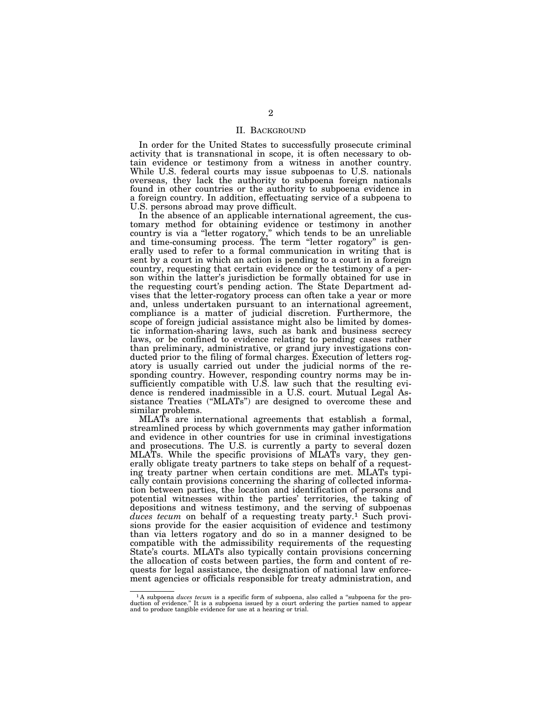## II. BACKGROUND

In order for the United States to successfully prosecute criminal activity that is transnational in scope, it is often necessary to obtain evidence or testimony from a witness in another country. While U.S. federal courts may issue subpoenas to U.S. nationals overseas, they lack the authority to subpoena foreign nationals found in other countries or the authority to subpoena evidence in a foreign country. In addition, effectuating service of a subpoena to U.S. persons abroad may prove difficult.

In the absence of an applicable international agreement, the customary method for obtaining evidence or testimony in another country is via a ''letter rogatory,'' which tends to be an unreliable and time-consuming process. The term ''letter rogatory'' is generally used to refer to a formal communication in writing that is sent by a court in which an action is pending to a court in a foreign country, requesting that certain evidence or the testimony of a person within the latter's jurisdiction be formally obtained for use in the requesting court's pending action. The State Department advises that the letter-rogatory process can often take a year or more and, unless undertaken pursuant to an international agreement, compliance is a matter of judicial discretion. Furthermore, the scope of foreign judicial assistance might also be limited by domestic information-sharing laws, such as bank and business secrecy laws, or be confined to evidence relating to pending cases rather than preliminary, administrative, or grand jury investigations conducted prior to the filing of formal charges. Execution of letters rogatory is usually carried out under the judicial norms of the responding country. However, responding country norms may be insufficiently compatible with U.S. law such that the resulting evidence is rendered inadmissible in a U.S. court. Mutual Legal Assistance Treaties ("MLATs") are designed to overcome these and similar problems.

MLATs are international agreements that establish a formal, streamlined process by which governments may gather information and evidence in other countries for use in criminal investigations and prosecutions. The U.S. is currently a party to several dozen MLATs. While the specific provisions of MLATs vary, they generally obligate treaty partners to take steps on behalf of a requesting treaty partner when certain conditions are met. MLATs typically contain provisions concerning the sharing of collected information between parties, the location and identification of persons and potential witnesses within the parties' territories, the taking of depositions and witness testimony, and the serving of subpoenas duces tecum on behalf of a requesting treaty party.<sup>1</sup> Such provisions provide for the easier acquisition of evidence and testimony than via letters rogatory and do so in a manner designed to be compatible with the admissibility requirements of the requesting State's courts. MLATs also typically contain provisions concerning the allocation of costs between parties, the form and content of requests for legal assistance, the designation of national law enforcement agencies or officials responsible for treaty administration, and

<sup>&</sup>lt;sup>1</sup>A subpoena *duces tecum* is a specific form of subpoena, also called a "subpoena for the production of evidence." It is a subpoena issued by a court ordering the parties named to appear and to produce tangible evidence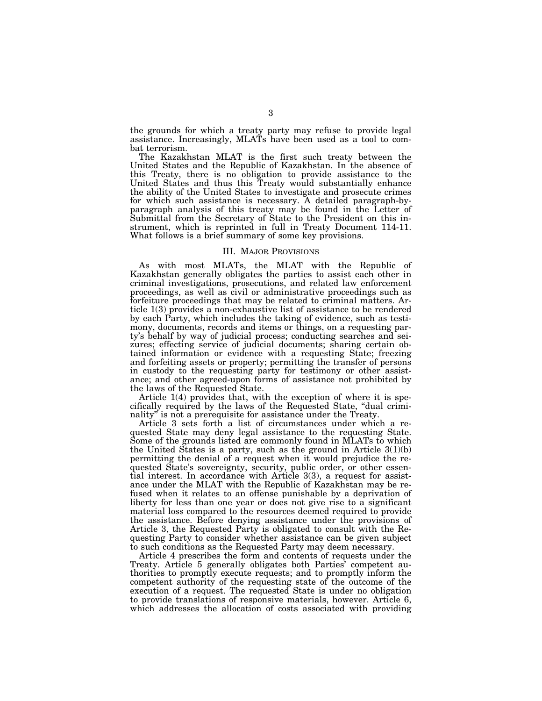the grounds for which a treaty party may refuse to provide legal assistance. Increasingly, MLATs have been used as a tool to combat terrorism.

The Kazakhstan MLAT is the first such treaty between the United States and the Republic of Kazakhstan. In the absence of this Treaty, there is no obligation to provide assistance to the United States and thus this Treaty would substantially enhance the ability of the United States to investigate and prosecute crimes for which such assistance is necessary. A detailed paragraph-byparagraph analysis of this treaty may be found in the Letter of Submittal from the Secretary of State to the President on this instrument, which is reprinted in full in Treaty Document 114-11. What follows is a brief summary of some key provisions.

#### III. MAJOR PROVISIONS

As with most MLATs, the MLAT with the Republic of Kazakhstan generally obligates the parties to assist each other in criminal investigations, prosecutions, and related law enforcement proceedings, as well as civil or administrative proceedings such as forfeiture proceedings that may be related to criminal matters. Article 1(3) provides a non-exhaustive list of assistance to be rendered by each Party, which includes the taking of evidence, such as testimony, documents, records and items or things, on a requesting party's behalf by way of judicial process; conducting searches and seizures; effecting service of judicial documents; sharing certain obtained information or evidence with a requesting State; freezing and forfeiting assets or property; permitting the transfer of persons in custody to the requesting party for testimony or other assistance; and other agreed-upon forms of assistance not prohibited by the laws of the Requested State.

Article 1(4) provides that, with the exception of where it is specifically required by the laws of the Requested State, ''dual criminality'' is not a prerequisite for assistance under the Treaty.

Article 3 sets forth a list of circumstances under which a requested State may deny legal assistance to the requesting State. Some of the grounds listed are commonly found in MLATs to which the United States is a party, such as the ground in Article  $3(1)(b)$ permitting the denial of a request when it would prejudice the requested State's sovereignty, security, public order, or other essential interest. In accordance with Article 3(3), a request for assistance under the MLAT with the Republic of Kazakhstan may be refused when it relates to an offense punishable by a deprivation of liberty for less than one year or does not give rise to a significant material loss compared to the resources deemed required to provide the assistance. Before denying assistance under the provisions of Article 3, the Requested Party is obligated to consult with the Requesting Party to consider whether assistance can be given subject to such conditions as the Requested Party may deem necessary.

Article 4 prescribes the form and contents of requests under the Treaty. Article 5 generally obligates both Parties' competent authorities to promptly execute requests; and to promptly inform the competent authority of the requesting state of the outcome of the execution of a request. The requested State is under no obligation to provide translations of responsive materials, however. Article 6, which addresses the allocation of costs associated with providing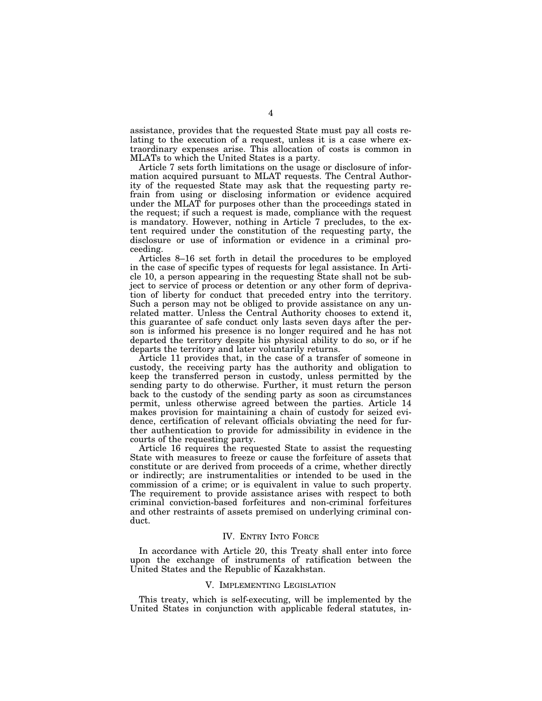assistance, provides that the requested State must pay all costs relating to the execution of a request, unless it is a case where extraordinary expenses arise. This allocation of costs is common in MLATs to which the United States is a party.

Article 7 sets forth limitations on the usage or disclosure of information acquired pursuant to MLAT requests. The Central Authority of the requested State may ask that the requesting party refrain from using or disclosing information or evidence acquired under the MLAT for purposes other than the proceedings stated in the request; if such a request is made, compliance with the request is mandatory. However, nothing in Article 7 precludes, to the extent required under the constitution of the requesting party, the disclosure or use of information or evidence in a criminal proceeding.

Articles 8–16 set forth in detail the procedures to be employed in the case of specific types of requests for legal assistance. In Article 10, a person appearing in the requesting State shall not be subject to service of process or detention or any other form of deprivation of liberty for conduct that preceded entry into the territory. Such a person may not be obliged to provide assistance on any unrelated matter. Unless the Central Authority chooses to extend it, this guarantee of safe conduct only lasts seven days after the person is informed his presence is no longer required and he has not departed the territory despite his physical ability to do so, or if he departs the territory and later voluntarily returns.

Article 11 provides that, in the case of a transfer of someone in custody, the receiving party has the authority and obligation to keep the transferred person in custody, unless permitted by the sending party to do otherwise. Further, it must return the person back to the custody of the sending party as soon as circumstances permit, unless otherwise agreed between the parties. Article 14 makes provision for maintaining a chain of custody for seized evidence, certification of relevant officials obviating the need for further authentication to provide for admissibility in evidence in the courts of the requesting party.

Article 16 requires the requested State to assist the requesting State with measures to freeze or cause the forfeiture of assets that constitute or are derived from proceeds of a crime, whether directly or indirectly; are instrumentalities or intended to be used in the commission of a crime; or is equivalent in value to such property. The requirement to provide assistance arises with respect to both criminal conviction-based forfeitures and non-criminal forfeitures and other restraints of assets premised on underlying criminal conduct.

### IV. ENTRY INTO FORCE

In accordance with Article 20, this Treaty shall enter into force upon the exchange of instruments of ratification between the United States and the Republic of Kazakhstan.

#### V. IMPLEMENTING LEGISLATION

This treaty, which is self-executing, will be implemented by the United States in conjunction with applicable federal statutes, in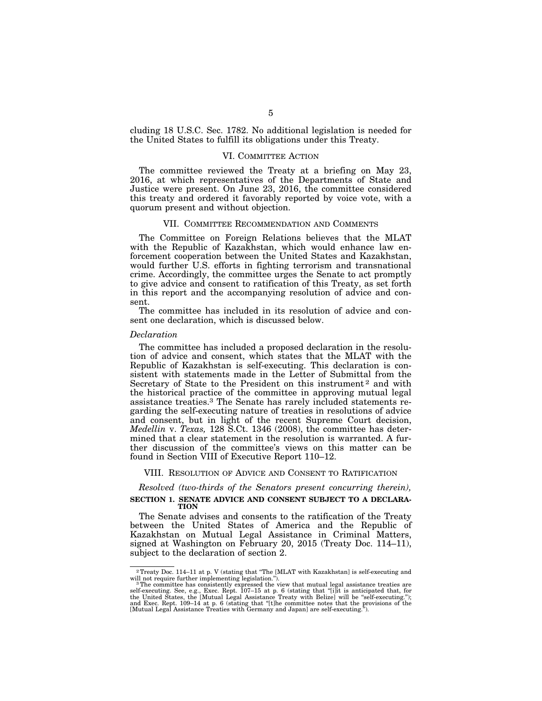cluding 18 U.S.C. Sec. 1782. No additional legislation is needed for the United States to fulfill its obligations under this Treaty.

### VI. COMMITTEE ACTION

The committee reviewed the Treaty at a briefing on May 23, 2016, at which representatives of the Departments of State and Justice were present. On June 23, 2016, the committee considered this treaty and ordered it favorably reported by voice vote, with a quorum present and without objection.

### VII. COMMITTEE RECOMMENDATION AND COMMENTS

The Committee on Foreign Relations believes that the MLAT with the Republic of Kazakhstan, which would enhance law enforcement cooperation between the United States and Kazakhstan, would further U.S. efforts in fighting terrorism and transnational crime. Accordingly, the committee urges the Senate to act promptly to give advice and consent to ratification of this Treaty, as set forth in this report and the accompanying resolution of advice and consent.

The committee has included in its resolution of advice and consent one declaration, which is discussed below.

#### *Declaration*

The committee has included a proposed declaration in the resolution of advice and consent, which states that the MLAT with the Republic of Kazakhstan is self-executing. This declaration is consistent with statements made in the Letter of Submittal from the Secretary of State to the President on this instrument<sup>2</sup> and with the historical practice of the committee in approving mutual legal assistance treaties.3 The Senate has rarely included statements regarding the self-executing nature of treaties in resolutions of advice and consent, but in light of the recent Supreme Court decision, *Medellin* v. *Texas,* 128 S.Ct. 1346 (2008), the committee has determined that a clear statement in the resolution is warranted. A further discussion of the committee's views on this matter can be found in Section VIII of Executive Report 110–12.

### VIII. RESOLUTION OF ADVICE AND CONSENT TO RATIFICATION

*Resolved (two-thirds of the Senators present concurring therein),*  **SECTION 1. SENATE ADVICE AND CONSENT SUBJECT TO A DECLARA-TION** 

The Senate advises and consents to the ratification of the Treaty between the United States of America and the Republic of Kazakhstan on Mutual Legal Assistance in Criminal Matters, signed at Washington on February 20, 2015 (Treaty Doc. 114–11), subject to the declaration of section 2.

<sup>2</sup>Treaty Doc. 114–11 at p. V (stating that ''The [MLAT with Kazakhstan] is self-executing and

will not require further implementing legislation.").<br>
<sup>3</sup> The committee has consistently expressed the view that mutual legal assistance treaties are<br>
self-executing. See, e.g., Exec. Rept. 107–15 at p. 6 (stating that "[